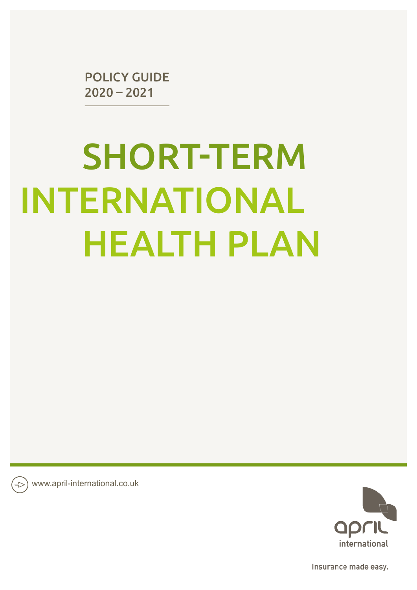POLICY GUIDE 2020 – 2021

# SHORT-TERM INTERNATIONAL HEALTH PLAN

www.april-international.co.uk



Insurance made easy.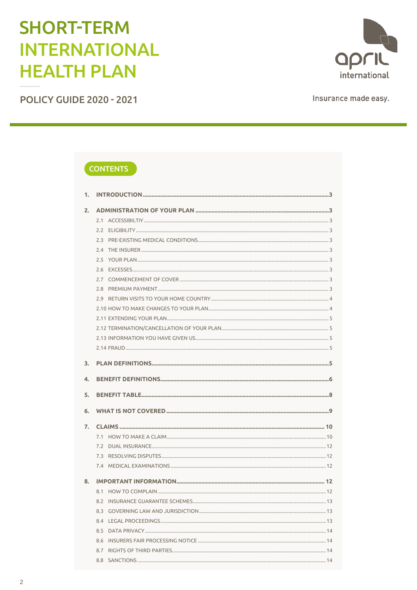# **SHORT-TERM INTERNATIONAL HEALTH PLAN**

**POLICY GUIDE 2020 - 2021** 

april international

Insurance made easy.

# **CONTENTS**

| 1. |     |  |
|----|-----|--|
| 2. |     |  |
|    |     |  |
|    |     |  |
|    |     |  |
|    |     |  |
|    |     |  |
|    |     |  |
|    |     |  |
|    |     |  |
|    |     |  |
|    |     |  |
|    |     |  |
|    |     |  |
|    |     |  |
|    |     |  |
|    |     |  |
| 3. |     |  |
| 4. |     |  |
|    |     |  |
| 5. |     |  |
| 6. |     |  |
|    |     |  |
| 7. |     |  |
|    |     |  |
|    |     |  |
|    |     |  |
|    |     |  |
| 8. |     |  |
|    |     |  |
|    |     |  |
|    | 8.3 |  |
|    | 8.4 |  |
|    | 8.5 |  |
|    | 8.6 |  |
|    | 8.7 |  |
|    |     |  |
|    |     |  |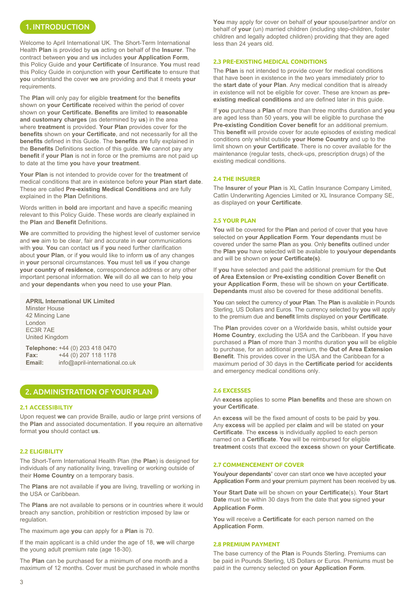# 1. INTRODUCTION

Welcome to April International UK. The Short-Term International Health **Plan** is provided by **us** acting on behalf of the **Insurer**. The contract between **you** and **us** includes **your Application Form**, this Policy Guide and **your Certificate** of Insurance. **You** must read this Policy Guide in conjunction with **your Certificate** to ensure that **you** understand the cover **we** are providing and that it meets **your** requirements.

The **Plan** will only pay for eligible **treatment** for the **benefits**  shown on **your Certificate** received within the period of cover shown on **your Certificate. Benefits** are limited to **reasonable and customary charges** (as determined by **us**) in the area where **treatment** is provided. **Your Plan** provides cover for the **benefits** shown on **your Certificate**, and not necessarily for all the **benefits** defined in this Guide. The **benefits** are fully explained in the **Benefits** Definitions section of this guide. **We** cannot pay any **benefit** if **your Plan** is not in force or the premiums are not paid up to date at the time **you** have **your treatment**.

**Your Plan** is not intended to provide cover for the **treatment** of medical conditions that are in existence before **your Plan start date**. These are called **Pre-existing Medical Conditions** and are fully explained in the **Plan** Definitions.

Words written in **bold** are important and have a specific meaning relevant to this Policy Guide. These words are clearly explained in the **Plan** and **Benefit** Definitions.

**We** are committed to providing the highest level of customer service and **we** aim to be clear, fair and accurate in **our** communications with **you**. **You** can contact **us** if **you** need further clarification about **your Plan**, or if **you** would like to inform **us** of any changes in **your** personal circumstances. **You** must tell **us** if **you** change **your country of residence**, correspondence address or any other important personal information. **We** will do all **we** can to help **you** and **your dependants** when **you** need to use **your Plan**.

**APRIL International UK Limited** Minster House 42 Mincing Lane London EC3R 7AE United Kingdom

**Telephone:** +44 (0) 203 418 0470 **Fax:** +44 (0) 207 118 1178 **Email:** info@april-international.co.uk

# 2. ADMINISTRATION OF YOUR PLAN

#### **2.1 ACCESSIBILTIY**

Upon request **we** can provide Braille, audio or large print versions of the **Plan** and associated documentation. If **you** require an alternative format **you** should contact **us**.

# **2.2 ELIGIBILITY**

The Short-Term International Health Plan (the **Plan**) is designed for individuals of any nationality living, travelling or working outside of their **Home Country** on a temporary basis.

The **Plans** are not available if **you** are living, travelling or working in the USA or Caribbean.

The **Plans** are not available to persons or in countries where it would breach any sanction, prohibition or restriction imposed by law or regulation.

The maximum age **you** can apply for a **Plan** is 70.

If the main applicant is a child under the age of 18, **we** will charge the young adult premium rate (age 18-30).

The **Plan** can be purchased for a minimum of one month and a maximum of 12 months. Cover must be purchased in whole months **You** may apply for cover on behalf of **your** spouse/partner and/or on behalf of **your** (un) married children (including step-children, foster children and legally adopted children) providing that they are aged less than 24 years old.

# **2.3 PRE-EXISTING MEDICAL CONDITIONS**

The **Plan** is not intended to provide cover for medical conditions that have been in existence in the two years immediately prior to the **start date** of **your Plan**. Any medical condition that is already in existence will not be eligible for cover. These are known as **preexisting medical conditions** and are defined later in this guide.

If **you** purchase a **Plan** of more than three months duration and **you** are aged less than 50 years, **you** will be eligible to purchase the **Pre-existing Condition Cover benefit** for an additional premium. This **benefit** will provide cover for acute episodes of existing medical conditions only whilst outside **your Home Country** and up to the limit shown on **your Certificate**. There is no cover available for the maintenance (regular tests, check-ups, prescription drugs) of the existing medical conditions.

#### **2.4 THE INSURER**

The **Insurer** of **your Plan** is XL Catlin Insurance Company Limited, Catlin Underwriting Agencies Limited or XL Insurance Company SE, as displayed on **your Certificate**.

#### **2.5 YOUR PLAN**

**You** will be covered for the **Plan** and period of cover that **you** have selected on **your Application Form**. **Your dependants** must be covered under the same **Plan** as **you**. Only **benefits** outlined under the **Plan you** have selected will be available to **you**/**your dependants** and will be shown on **your Certificate(s)**.

If **you** have selected and paid the additional premium for the **Out of Area Extension** or **Pre-existing condition Cover Benefit** on **your Application Form**, these will be shown on **your Certificate**. **Dependants** must also be covered for these additional benefits.

**You** can select the currency of **your Plan**. The **Plan** is available in Pounds Sterling, US Dollars and Euros. The currency selected by **you** will apply to the premium due and **benefit** limits displayed on **your Certificate**.

The **Plan** provides cover on a Worldwide basis, whilst outside **your Home Country**, excluding the USA and the Caribbean. If **you** have purchased a **Plan** of more than 3 months duration **you** will be eligible to purchase, for an additional premium, the **Out of Area Extension Benefit**. This provides cover in the USA and the Caribbean for a maximum period of 30 days in the **Certificate period** for **accidents** and emergency medical conditions only.

# **2.6 EXCESSES**

An **excess** applies to some **Plan benefits** and these are shown on **your Certificate**.

An **excess** will be the fixed amount of costs to be paid by **you**. Any **excess** will be applied per **claim** and will be stated on **your Certificate**. The **excess** is individually applied to each person named on a **Certificate**. **You** will be reimbursed for eligible **treatment** costs that exceed the **excess** shown on **your Certificate**.

# **2.7 COMMENCEMENT OF COVER**

**You/your dependants'** cover can start once **we** have accepted **your Application Form** and **your** premium payment has been received by **us**.

**Your Start Date** will be shown on **your Certificate**(s). **Your Start Date** must be within 30 days from the date that **you** signed **your Application Form**.

**You** will receive a **Certificate** for each person named on the **Application Form**.

#### **2.8 PREMIUM PAYMENT**

The base currency of the **Plan** is Pounds Sterling. Premiums can be paid in Pounds Sterling, US Dollars or Euros. Premiums must be paid in the currency selected on **your Application Form**.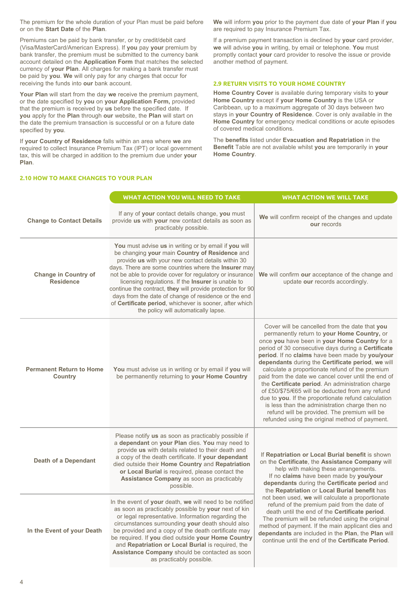The premium for the whole duration of your Plan must be paid before or on the **Start Date** of the **Plan**.

Premiums can be paid by bank transfer, or by credit/debit card (Visa/MasterCard/American Express). If **you** pay **your** premium by bank transfer, the premium must be submitted to the currency bank account detailed on the **Application Form** that matches the selected currency of **your Plan**. All charges for making a bank transfer must be paid by **you**. **We** will only pay for any charges that occur for receiving the funds into **our** bank account.

**Your Plan** will start from the day **we** receive the premium payment, or the date specified by **you** on **your Application Form,** provided that the premium is received by **us** before the specified date. If **you** apply for the **Plan** through **our** website, the **Plan** will start on the date the premium transaction is successful or on a future date specified by **you**.

If **your Country of Residence** falls within an area where **we** are required to collect Insurance Premium Tax (IPT) or local government tax, this will be charged in addition to the premium due under **your Plan**.

**2.10 HOW TO MAKE CHANGES TO YOUR PLAN**

**We** will inform **you** prior to the payment due date of **your Plan** if **you** are required to pay Insurance Premium Tax.

If a premium payment transaction is declined by **your** card provider, **we** will advise **you** in writing, by email or telephone. **You** must promptly contact **your** card provider to resolve the issue or provide another method of payment.

# **2.9 RETURN VISITS TO YOUR HOME COUNTRY**

**Home Country Cover** is available during temporary visits to **your Home Country** except if **your Home Country** is the USA or Caribbean, up to a maximum aggregate of 30 days between two stays in **your Country of Residence**. Cover is only available in the **Home Country** for emergency medical conditions or acute episodes of covered medical conditions.

The **benefits** listed under **Evacuation and Repatriation** in the **Benefit** Table are not available whilst **you** are temporarily in **your Home Country**.

|                                                   | <b>WHAT ACTION YOU WILL NEED TO TAKE</b>                                                                                                                                                                                                                                                                                                                                                                                                                                                                                                                         | <b>WHAT ACTION WE WILL TAKE</b>                                                                                                                                                                                                                                                                                                                                                                                                                                                                                                                                                                                                                                                                                                           |  |
|---------------------------------------------------|------------------------------------------------------------------------------------------------------------------------------------------------------------------------------------------------------------------------------------------------------------------------------------------------------------------------------------------------------------------------------------------------------------------------------------------------------------------------------------------------------------------------------------------------------------------|-------------------------------------------------------------------------------------------------------------------------------------------------------------------------------------------------------------------------------------------------------------------------------------------------------------------------------------------------------------------------------------------------------------------------------------------------------------------------------------------------------------------------------------------------------------------------------------------------------------------------------------------------------------------------------------------------------------------------------------------|--|
| <b>Change to Contact Details</b>                  | If any of your contact details change, you must<br>provide us with your new contact details as soon as<br>practicably possible.                                                                                                                                                                                                                                                                                                                                                                                                                                  | We will confirm receipt of the changes and update<br>our records                                                                                                                                                                                                                                                                                                                                                                                                                                                                                                                                                                                                                                                                          |  |
| <b>Change in Country of</b><br><b>Residence</b>   | You must advise us in writing or by email if you will<br>be changing your main Country of Residence and<br>provide us with your new contact details within 30<br>days. There are some countries where the Insurer may<br>not be able to provide cover for regulatory or insurance<br>licensing regulations. If the Insurer is unable to<br>continue the contract, they will provide protection for 90<br>days from the date of change of residence or the end<br>of Certificate period, whichever is sooner, after which<br>the policy will automatically lapse. | We will confirm our acceptance of the change and<br>update our records accordingly.                                                                                                                                                                                                                                                                                                                                                                                                                                                                                                                                                                                                                                                       |  |
| <b>Permanent Return to Home</b><br><b>Country</b> | You must advise us in writing or by email if you will<br>be permanently returning to your Home Country                                                                                                                                                                                                                                                                                                                                                                                                                                                           | Cover will be cancelled from the date that you<br>permanently return to your Home Country, or<br>once you have been in your Home Country for a<br>period of 30 consecutive days during a Certificate<br>period. If no claims have been made by you/your<br>dependants during the Certificate period, we will<br>calculate a proportionate refund of the premium<br>paid from the date we cancel cover until the end of<br>the Certificate period. An administration charge<br>of £50/\$75/€65 will be deducted from any refund<br>due to you. If the proportionate refund calculation<br>is less than the administration charge then no<br>refund will be provided. The premium will be<br>refunded using the original method of payment. |  |
| <b>Death of a Dependant</b>                       | Please notify us as soon as practicably possible if<br>a dependant on your Plan dies. You may need to<br>provide us with details related to their death and<br>a copy of the death certificate. If your dependant<br>died outside their Home Country and Repatriation<br>or Local Burial is required, please contact the<br>Assistance Company as soon as practicably<br>possible.                                                                                                                                                                               | If Repatriation or Local Burial benefit is shown<br>on the Certificate, the Assistance Company will<br>help with making these arrangements.<br>If no claims have been made by you/your<br>dependants during the Certificate period and<br>the Repatriation or Local Burial benefit has<br>not been used, we will calculate a proportionate<br>refund of the premium paid from the date of<br>death until the end of the Certificate period.<br>The premium will be refunded using the original<br>method of payment. If the main applicant dies and<br>dependants are included in the Plan, the Plan will<br>continue until the end of the Certificate Period.                                                                            |  |
| In the Event of your Death                        | In the event of your death, we will need to be notified<br>as soon as practicably possible by <b>your</b> next of kin<br>or legal representative. Information regarding the<br>circumstances surrounding your death should also<br>be provided and a copy of the death certificate may<br>be required. If you died outside your Home Country<br>and Repatriation or Local Burial is required, the<br>Assistance Company should be contacted as soon<br>as practicably possible.                                                                                  |                                                                                                                                                                                                                                                                                                                                                                                                                                                                                                                                                                                                                                                                                                                                           |  |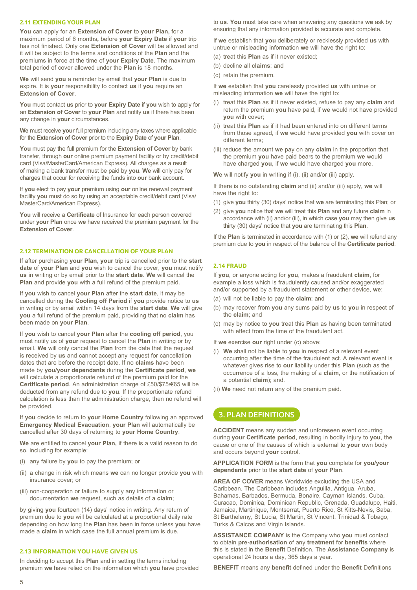### **2.11 EXTENDING YOUR PLAN**

**You** can apply for an **Extension of Cover** to **your Plan,** for a maximum period of 6 months**,** before **your Expiry Date** if **your** trip has not finished. Only one **Extension of Cover** will be allowed and it will be subject to the terms and conditions of the **Plan** and the premiums in force at the time of **your Expiry Date**. The maximum total period of cover allowed under the **Plan** is 18 months.

**We** will send **you** a reminder by email that **your Plan** is due to expire. It is **your** responsibility to contact **us** if **you** require an **Extension of Cover**.

**You** must contact **us** prior to **your Expiry Date** if **you** wish to apply for an **Extension of Cover** to **your Plan** and notify **us** if there has been any change in **your** circumstances.

**We** must receive **your** full premium including any taxes where applicable for the **Extension of Cover** prior to the **Expiry Date** of **your Plan**.

**You** must pay the full premium for the **Extension of Cover** by bank transfer, through **our** online premium payment facility or by credit/debit card (Visa/MasterCard/American Express). All charges as a result of making a bank transfer must be paid by **you**. **We** will only pay for charges that occur for receiving the funds into **our** bank account.

If **you** elect to pay **your** premium using **our** online renewal payment facility **you** must do so by using an acceptable credit/debit card (Visa/ MasterCard/American Express).

**You** will receive a **Certificate** of Insurance for each person covered under **your Plan** once **we** have received the premium payment for the **Extension of Cover**.

# **2.12 TERMINATION OR CANCELLATION OF YOUR PLAN**

If after purchasing **your Plan**, **your** trip is cancelled prior to the **start date** of **your Plan** and **you** wish to cancel the cover, **you** must notify **us** in writing or by email prior to the **start date**. **We** will cancel the **Plan** and provide **you** with a full refund of the premium paid.

If **you** wish to cancel **your Plan** after the **start date**, it may be cancelled during the **Cooling off Period** if **you** provide notice to **us** in writing or by email within 14 days from the **start date**. **We** will give **you** a full refund of the premium paid, providing that no **claim** has been made on **your Plan**.

If **you** wish to cancel **your Plan** after the **cooling off period**, you must notify us of **your** request to cancel the **Plan** in writing or by email. **We** will only cancel the **Plan** from the date that the request is received by **us** and cannot accept any request for cancellation dates that are before the receipt date. If no **claims** have been made by **you/your dependants** during the **Certificate period**, **we** will calculate a proportionate refund of the premium paid for the **Certificate period**. An administration charge of £50/\$75/€65 will be deducted from any refund due to **you**. If the proportionate refund calculation is less than the administration charge, then no refund will be provided.

If **you** decide to return to **your Home Country** following an approved **Emergency Medical Evacuation**, **your Plan** will automatically be cancelled after 30 days of returning to **your Home Country**.

**We** are entitled to cancel **your Plan,** if there is a valid reason to do so, including for example:

- (i) any failure by **you** to pay the premium; or
- (ii) a change in risk which means **we** can no longer provide **you** with insurance cover; or
- (iii) non-cooperation or failure to supply any information or documentation **we** request, such as details of a **claim**;

by giving **you** fourteen (14) days' notice in writing. Any return of premium due to **you** will be calculated at a proportional daily rate depending on how long the **Plan** has been in force unless **you** have made a **claim** in which case the full annual premium is due.

#### **2.13 INFORMATION YOU HAVE GIVEN US**

In deciding to accept this **Plan** and in setting the terms including premium **we** have relied on the information which **you** have provided to **us**. **You** must take care when answering any questions **we** ask by ensuring that any information provided is accurate and complete.

If **we** establish that **you** deliberately or recklessly provided **us** with untrue or misleading information **we** will have the right to:

- (a) treat this **Plan** as if it never existed;
- (b) decline all **claims**; and
- (c) retain the premium.

If **we** establish that **you** carelessly provided **us** with untrue or misleading information **we** will have the right to:

- (i) treat this **Plan** as if it never existed, refuse to pay any **claim** and return the premium **you** have paid, if **we** would not have provided **you** with cover;
- (ii) treat this **Plan** as if it had been entered into on different terms from those agreed, if **we** would have provided **you** with cover on different terms;
- (iii) reduce the amount **we** pay on any **claim** in the proportion that the premium **you** have paid bears to the premium **we** would have charged **you**, if **we** would have charged **you** more.

**We** will notify **you** in writing if (i), (ii) and/or (iii) apply.

If there is no outstanding **claim** and (ii) and/or (iii) apply, **we** will have the right to:

- (1) give **you** thirty (30) days' notice that **we** are terminating this Plan; or
- (2) give **you** notice that **we** will treat this **Plan** and any future **claim** in accordance with (ii) and/or (iii), in which case **you** may then give **us** thirty (30) days' notice that **you** are terminating this **Plan**.

If the **Plan** is terminated in accordance with (1) or (2), **we** will refund any premium due to **you** in respect of the balance of the **Certificate period**.

# **2.14 FRAUD**

If **you**, or anyone acting for **you**, makes a fraudulent **claim**, for example a loss which is fraudulently caused and/or exaggerated and/or supported by a fraudulent statement or other device, **we**:

- (a) will not be liable to pay the **claim**; and
- (b) may recover from **you** any sums paid by **us** to **you** in respect of the **claim**; and
- (c) may by notice to **you** treat this **Plan** as having been terminated with effect from the time of the fraudulent act.

If **we** exercise **our** right under (c) above:

- (i) **We** shall not be liable to **you** in respect of a relevant event occurring after the time of the fraudulent act. A relevant event is whatever gives rise to **our** liability under this **Plan** (such as the occurrence of a loss, the making of a **claim**, or the notification of a potential **claim**); and.
- (ii) **We** need not return any of the premium paid.

# 3. PLAN DEFINITIONS

**ACCIDENT** means any sudden and unforeseen event occurring during **your Certificate period**, resulting in bodily injury to **you**, the cause or one of the causes of which is external to **your** own body and occurs beyond **your** control.

**APPLICATION FORM** is the form that **you** complete for **you/your dependants** prior to the **start date** of **your Plan**.

**AREA OF COVER** means Worldwide excluding the USA and Caribbean. The Caribbean includes Anguilla, Antigua, Aruba, Bahamas, Barbados, Bermuda, Bonaire, Cayman Islands, Cuba, Curacao, Dominica, Dominican Republic, Grenada, Guadalupe, Haiti, Jamaica, Martinique, Montserrat, Puerto Rico, St Kitts-Nevis, Saba, St Barthelemy, St Lucia, St Martin, St Vincent, Trinidad & Tobago, Turks & Caicos and Virgin Islands.

**ASSISTANCE COMPANY** is the Company who **you** must contact to obtain **pre-authorisation** of any **treatment** for **benefits** where this is stated in the **Benefit** Definition. The **Assistance Company** is operational 24 hours a day, 365 days a year.

**BENEFIT** means any **benefit** defined under the **Benefit** Definitions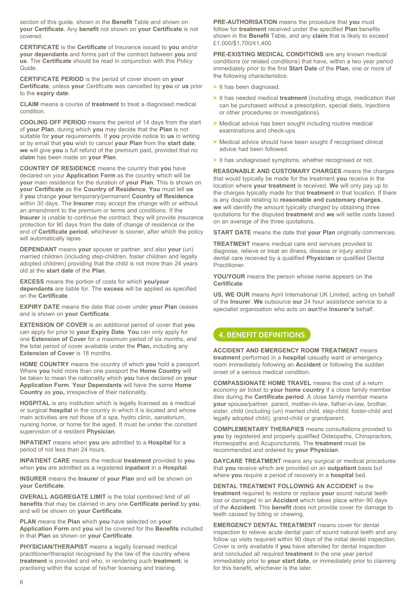section of this guide, shown in the **Benefit** Table and shown on **your Certificate**. Any **benefit** not shown on **your Certificate** is not covered.

**CERTIFICATE** is the **Certificate** of Insurance issued to **you** and/or **your dependants** and forms part of the contract between **you** and **us**. The **Certificate** should be read in conjunction with this Policy Guide.

**CERTIFICATE PERIOD** is the period of cover shown on **your Certificate**, unless **your** Certificate was cancelled by **you** or **us** prior to the **expiry date**.

**CLAIM** means a course of **treatment** to treat a diagnosed medical condition.

**COOLING OFF PERIOD** means the period of 14 days from the start of **your Plan**, during which **you** may decide that the **Plan** is not suitable for **your** requirements. If **you** provide notice to **us** in writing or by email that **you** wish to cancel **your Plan** from the **start date**, **we** will give **you** a full refund of the premium paid, provided that no **claim** has been made on **your Plan**.

**COUNTRY OF RESIDENCE** means the country that **you** have declared on your **Application Form** as the country which will be **your** main residence for the duration of **your Plan**. This is shown on **your Certificate** as the **Country of Residence**. **You** must tell **us** if **you** change **your** temporary/permanent **Country of Residence** within 30 days. The **Insurer** may accept the change with or without an amendment to the premium or terms and conditions. If the **Insurer** is unable to continue the contract, they will provide insurance protection for 90 days from the date of change of residence or the end of **Certificate period**, whichever is sooner, after which the policy will automatically lapse.

**DEPENDANT** means **your** spouse or partner, and also **your** (un) married children (including step-children, foster children and legally adopted children) providing that the child is not more than 24 years old at the **start date** of the **Plan**.

**EXCESS** means the portion of costs for which **you/your dependants** are liable for. The **excess** will be applied as specified on the **Certificate**.

**EXPIRY DATE** means the date that cover under **your Plan** ceases and is shown on **your Certificate**.

**EXTENSION OF COVER** is an additional period of cover that **you** can apply for prior to **your Expiry Date**. **You** can only apply for one **Extension of Cover** for a maximum period of six months, and the total period of cover available under the **Plan,** including any **Extension of Cover** is 18 months.

**HOME COUNTRY** means the country of which **you** hold a passport. Where **you** hold more than one passport the **Home Country** will be taken to mean the nationality which **you** have declared on **your Application Form**. **Your Dependants** will have the same **Home Country** as **you,** irrespective of their nationality.

**HOSPITAL** is any institution which is legally licensed as a medical or surgical **hospital** in the country in which it is located and whose main activities are not those of a spa, hydro clinic, sanatorium, nursing home, or home for the aged. It must be under the constant supervision of a resident **Physician**.

**INPATIENT** means when **you** are admitted to a **Hospital** for a period of not less than 24 hours.

**INPATIENT CARE** means the medical **treatment** provided to **you** when **you** are admitted as a registered **inpatient** in a **Hospital**.

**INSURER** means the **Insurer** of **your Plan** and will be shown on **your Certificate**.

**OVERALL AGGREGATE LIMIT** is the total combined limit of all **benefits** that may be claimed in any one **Certificate period** by **you**, and will be shown on **your Certificate**.

**PLAN** means the **Plan** which **you** have selected on **your Application Form** and **you** will be covered for the **Benefits** included in that **Plan** as shown on **your Certificate**.

**PHYSICIAN/THERAPIST** means a legally licensed medical practitioner/therapist recognised by the law of the country where **treatment** is provided and who, in rendering such **treatment**, is practising within the scope of his/her licensing and training.

**PRE-AUTHORISATION** means the procedure that **you** must follow for **treatment** received under the specified **Plan** benefits shown in the **Benefit** Table, and any **claim** that is likely to exceed £1,000/\$1,700/€1,400.

**PRE-EXISTING MEDICAL CONDITIONS** are any known medical conditions (or related conditions) that have, within a two year period immediately prior to the first **Start Date** of the **Plan**, one or more of the following characteristics:

- **>** It has been diagnosed.
- **>** It has needed medical **treatment** (including drugs, medication that can be purchased without a prescription, special diets, injections or other procedures or investigations).
- **>** Medical advice has been sought including routine medical examinations and check-ups.
- **>** Medical advice should have been sought if recognised clinical advice had been followed.
- **>** It has undiagnosed symptoms, whether recognised or not.

**REASONABLE AND CUSTOMARY CHARGES** means the charges that would typically be made for the treatment **you** receive in the location where **your treatment** is received. **We** will only pay up to the charges typically made for that **treatment** in that location. If there is any dispute relating to **reasonable and customary charges**, **we** will identify the amount typically charged by obtaining three quotations for the disputed **treatment** and **we** will settle costs based on an average of the three quotations.

**START DATE** means the date that **your Plan** originally commences.

**TREATMENT** means medical care and services provided to diagnose, relieve or treat an illness, disease or injury and/or dental care received by a qualified **Physician** or qualified Dental Practitioner.

**YOU/YOUR** means the person whose name appears on the **Certificate**.

**US, WE OUR** means April International UK Limited, acting on behalf of the **Insurer**. **We** outsource **our** 24 hour assistance service to a specialist organisation who acts on **our**/the **Insurer's** behalf.

# 4. BENEFIT DEFINITIONS

**ACCIDENT AND EMERGENCY ROOM TREATMENT** means **treatment** performed in a **hospital** casualty ward or emergency room immediately following an **Accident** or following the sudden onset of a serious medical condition.

**COMPASSIONATE HOME TRAVEL** means the cost of a return economy air ticket to **your home country** if a close family member dies during the **Certificate period**. A close family member means **your** spouse/partner, parent, mother-in-law, father-in-law, brother, sister, child (including (un) married child, step-child, foster-child and legally adopted child), grand-child or grandparent.

**COMPLEMENTARY THERAPIES** means consultations provided to **you** by registered and properly qualified Osteopaths, Chiropractors, Homeopaths and Acupuncturists. The **treatment** must be recommended and ordered by **your Physician**.

**DAYCARE TREATMENT** means any surgical or medical procedures that **you** receive which are provided on an **outpatient** basis but where **you** require a period of recovery in a **hospital** bed.

**DENTAL TREATMENT FOLLOWING AN ACCIDENT** is the **treatment** required to restore or replace **your** sound natural teeth lost or damaged in an **Accident** which takes place within 90 days of the **Accident**. This **benefit** does not provide cover for damage to teeth caused by biting or chewing.

**EMERGENCY DENTAL TREATMENT** means cover for dental inspection to relieve acute dental pain of sound natural teeth and any follow up visits required within 90 days of the initial dental inspection. Cover is only available if **you** have attended for dental inspection and concluded all required **treatment** in the one year period immediately prior to **your start date**, or immediately prior to claiming for this benefit, whichever is the later.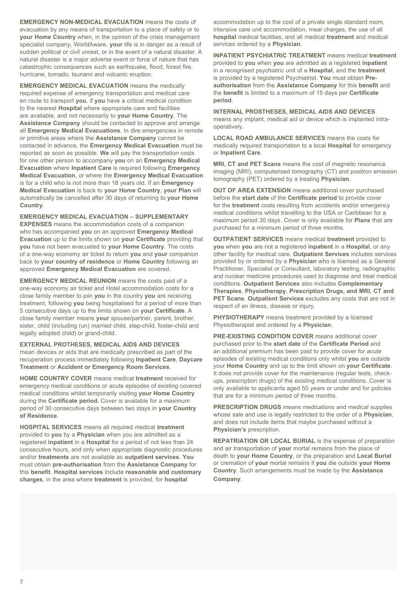**EMERGENCY NON-MEDICAL EVACUATION** means the costs of evacuation by any means of transportation to a place of safety or to **your Home Country** when, in the opinion of the crisis management specialist company, WorldAware, **your** life is in danger as a result of sudden political or civil unrest, or in the event of a natural disaster. A natural disaster is a major adverse event or force of nature that has catastrophic consequences such as earthquake, flood, forest fire, hurricane, tornado, tsunami and volcanic eruption.

**EMERGENCY MEDICAL EVACUATION** means the medically required expense of emergency transportation and medical care en route to transport **you**, if **you** have a critical medical condition to the nearest **Hospital** where appropriate care and facilities are available, and not necessarily to **your Home Country**. The **Assistance Company** should be contacted to approve and arrange all **Emergency Medical Evacuations**. In dire emergencies in remote or primitive areas where the **Assistance Company** cannot be contacted in advance, the **Emergency Medical Evacuation** must be reported as soon as possible. **We** will pay the transportation costs for one other person to accompany **you** on an **Emergency Medical Evacuation** where **Inpatient Care** is required following **Emergency Medical Evacuation**, or where the **Emergency Medical Evacuation** is for a child who is not more than 18 years old. If an **Emergency Medical Evacuation** is back to **your Home Country**, **your Plan** will automatically be cancelled after 30 days of returning to **your Home Country**.

**EMERGENCY MEDICAL EVACUATION – SUPPLEMENTARY EXPENSES** means the accommodation costs of a companion who has accompanied **you** on an approved **Emergency Medical Evacuation** up to the limits shown on **your Certificate** providing that **you** have not been evacuated to **your Home Country**. The costs of a one-way economy air ticket to return **you** and **your** companion back to **your country of residence** or **Home Country** following an approved **Emergency Medical Evacuation** are covered.

**EMERGENCY MEDICAL REUNION** means the costs paid of a one-way economy air ticket and Hotel accommodation costs for a close family member to join **you** in the country **you** are receiving treatment, following **you** being hospitalised for a period of more than 5 consecutive days up to the limits shown on **your Certificate**. A close family member means **your** spouse/partner, parent, brother, sister, child (including (un) married child, step-child, foster-child and legally adopted child) or grand-child.

**EXTERNAL PROTHESES, MEDICAL AIDS AND DEVICES** mean devices or aids that are medically prescribed as part of the recuperation process immediately following **Inpatient Care**, **Daycare Treatment** or **Accident or Emergency Room Services**.

**HOME COUNTRY COVER** means medical **treatment** received for emergency medical conditions or acute episodes of existing covered medical conditions whilst temporarily visiting **your Home Country** during the **Certificate period.** Cover is available for a maximum period of 30 consecutive days between two stays in **your Country of Residence**.

**HOSPITAL SERVICES** means all required medical **treatment** provided to **you** by a **Physician** when you are admitted as a registered **inpatient** in a **Hospital** for a period of not less than 24 consecutive hours, and only when appropriate diagnostic procedures and/or **treatments** are not available as **outpatient services**. **You** must obtain **pre-authorisation** from the **Assistance Company** for this **benefit**. **Hospital services** include **reasonable and customary charges**, in the area where **treatment** is provided, for **hospital**

accommodation up to the cost of a private single standard room, intensive care unit accommodation, meal charges, the use of all **hospital** medical facilities, and all medical **treatment** and medical services ordered by a **Physician**.

**INPATIENT PSYCHIATRIC TREATMENT** means medical **treatment** provided to **you** when **you** are admitted as a registered **inpatient** in a recognised psychiatric unit of a **Hospital**, and the **treatment**  is provided by a registered Psychiatrist. **You** must obtain **Preauthorisation** from the **Assistance Company** for this **benefit** and the **benefit** is limited to a maximum of 15 days per **Certificate period**.

**INTERNAL PROSTHESES, MEDICAL AIDS AND DEVICES**  means any implant, medical aid or device which is implanted intraoperatively.

**LOCAL ROAD AMBULANCE SERVICES** means the costs for medically required transportation to a local **Hospital** for emergency or **Inpatient Care**.

**MRI, CT and PET Scans** means the cost of magnetic resonance imaging (MRI), computerised tomography (CT) and positron emission tomography (PET) ordered by a treating **Physician**.

**OUT OF AREA EXTENSION** means additional cover purchased before the **start date** of the **Certificate period** to provide cover for the **treatment** costs resulting from accidents and/or emergency medical conditions whilst travelling to the USA or Caribbean for a maximum period 30 days. Cover is only available for **Plans** that are purchased for a minimum period of three months.

**OUTPATIENT SERVICES** means medical **treatment** provided to **you** when **you** are not a registered **inpatient** in a **Hospital**, or any other facility for medical care. **Outpatient Services** includes services provided by or ordered by a **Physician** who is licensed as a General Practitioner, Specialist or Consultant, laboratory testing, radiographic and nuclear medicine procedures used to diagnose and treat medical conditions. **Outpatient Services** also includes **Complementary Therapies**, **Physiotherapy**, **Prescription Drugs, and MRI, CT and PET Scans**. **Outpatient Services** excludes any costs that are not in respect of an illness, disease or injury.

**PHYSIOTHERAPY** means treatment provided by a licensed Physiotherapist and ordered by a **Physician**.

**PRE-EXISTING CONDITION COVER** means additional cover purchased prior to the **start date** of the **Certificate Period** and an additional premium has been paid to provide cover for acute episodes of existing medical conditions only whilst **you** are outside your **Home Country** and up to the limit shown on **your Certificate**. It does not provide cover for the maintenance (regular tests, checkups, prescription drugs) of the existing medical conditions. Cover is only available to applicants aged 50 years or under and for policies that are for a minimum period of three months.

**PRESCRIPTION DRUGS** means medications and medical supplies whose sale and use is legally restricted to the order of a **Physician**, and does not include items that maybe purchased without a **Physician's** prescription.

**REPATRIATION OR LOCAL BURIAL** is the expense of preparation and air transportation of **your** mortal remains from the place of death to **your Home Country**, or the preparation and **Local Burial**  or cremation of **your** mortal remains if **you** die outside **your Home Country**. Such arrangements must be made by the **Assistance Company**.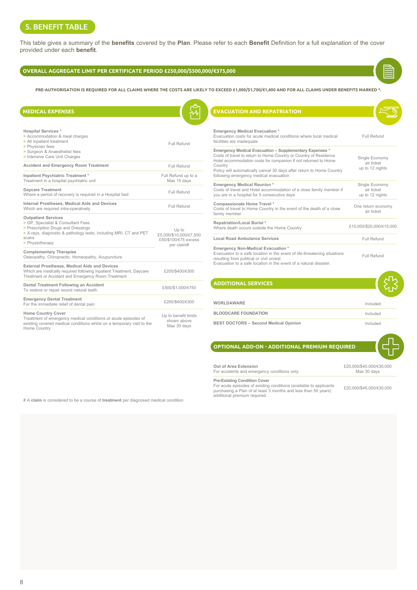# 5. BENEFIT TABLE

This table gives a summary of the **benefits** covered by the **Plan**. Please refer to each **Benefit** Definition for a full explanation of the cover provided under each **benefit**.

# **OVERALL AGGREGATE LIMIT PER CERTIFICATE PERIOD £250,000/\$500,000/€375,000**

**PRE-AUTHORISATION IS REQUIRED FOR ALL CLAIMS WHERE THE COSTS ARE LIKELY TO EXCEED £1,000/\$1,700/€1,400 AND FOR ALL CLAIMS UNDER BENEFITS MARKED \*.**

| <b>MEDICAL EXPENSES</b>                                                                                                                                                     |                                                                                     | <b>EVACUATION AND REPATRIATION</b>                                                                                                                                      |  |
|-----------------------------------------------------------------------------------------------------------------------------------------------------------------------------|-------------------------------------------------------------------------------------|-------------------------------------------------------------------------------------------------------------------------------------------------------------------------|--|
|                                                                                                                                                                             |                                                                                     |                                                                                                                                                                         |  |
| <b>Hospital Services *</b><br>> Accommodation & meal charges<br>> All inpatient treatment<br>> Physician fees                                                               | Full Refund                                                                         | <b>Emergency Medical Evacuation *</b><br>Evacuation costs for acute medical conditions<br>facilities are inadequate<br><b>Emergency Medical Evacuation - Supplement</b> |  |
| > Surgeon & Anaesthetist fees<br>> Intensive Care Unit Charges                                                                                                              |                                                                                     | Costs of travel to return to Home Country or Co.<br>Hotel accommodation costs for companion if no                                                                       |  |
| <b>Accident and Emergency Room Treatment</b>                                                                                                                                | Full Refund                                                                         | Country<br>Policy will automatically cancel 30 days after re                                                                                                            |  |
| Inpatient Psychiatric Treatment *<br>Treatment in a hospital psychiatric unit                                                                                               | Full Refund up to a<br>Max 15 days                                                  | following emergency medical evacuation                                                                                                                                  |  |
| Daycare Treatment<br>Where a period of recovery is required in a Hospital bed                                                                                               | Full Refund                                                                         | <b>Emergency Medical Reunion*</b><br>Costs of travel and Hotel accommodation of a<br>you are in a hospital for 5 consecutive days                                       |  |
| Internal Prostheses, Medical Aids and Devices<br>Which are required intra-operatively                                                                                       | Full Refund                                                                         | Compassionate Home Travel *<br>Costs of travel to Home Country in the event of<br>family member                                                                         |  |
| <b>Outpatient Services</b><br>> GP, Specialist & Consultant Fees<br>> Prescription Drugs and Dressings<br>> X-rays, diagnostic & pathology tests, including MRI, CT and PET | Repatriation/Local Burial *<br>Where death occurs outside the Home Country<br>Up to |                                                                                                                                                                         |  |
| scans<br>> Physiotherapy                                                                                                                                                    | £5,000/\$10,000/€7,500<br>£50/\$100/€75 excess<br>per claim#                        | Local Road Ambulance Services                                                                                                                                           |  |
| <b>Complementary Therapies</b><br>Osteopathy, Chiropractic, Homeopathy, Acupuncture                                                                                         |                                                                                     | Emergency Non-Medical Evacuation *<br>Evacuation to a safe location in the event of life<br>resulting from political or civil unrest                                    |  |
| External Prostheses, Medical Aids and Devices<br>Which are medically required following Inpatient Treatment, Daycare<br>Treatment or Accident and Emergency Room Treatment  | £200/\$400/€300                                                                     | Evacuation to a safe location in the event of a                                                                                                                         |  |
| Dental Treatment Following an Accident<br>To restore or repair sound natural teeth                                                                                          | £500/\$1,000/€750                                                                   | <b>ADDITIONAL SERVICES</b>                                                                                                                                              |  |
| <b>Emergency Dental Treatment</b><br>For the immediate relief of dental pain                                                                                                | £200/\$400/€300                                                                     | <b>WORLDAWARE</b>                                                                                                                                                       |  |
| <b>Home Country Cover</b>                                                                                                                                                   | Up to benefit limits                                                                | <b>BLOODCARE FOUNDATION</b>                                                                                                                                             |  |
| Treatment of emergency medical conditions or acute episodes of<br>existing covered medical conditions whilst on a temporary visit to the<br>Home Country                    | shown above<br>Max 30 days                                                          | <b>BEST DOCTORS - Second Medical Opinion</b>                                                                                                                            |  |

| <b>EVACUATION AND REPATRIATION</b>                                                                                                                                                                                                                                                                                            |                                                 |
|-------------------------------------------------------------------------------------------------------------------------------------------------------------------------------------------------------------------------------------------------------------------------------------------------------------------------------|-------------------------------------------------|
|                                                                                                                                                                                                                                                                                                                               |                                                 |
| <b>Emergency Medical Evacuation *</b><br>Evacuation costs for acute medical conditions where local medical<br>facilities are inadequate                                                                                                                                                                                       | Full Refund                                     |
| Emergency Medical Evacuation - Supplementary Expenses *<br>Costs of travel to return to Home Country or Country of Residence<br>Hotel accommodation costs for companion if not returned to Home<br>Country<br>Policy will automatically cancel 30 days after return to Home Country<br>following emergency medical evacuation | Single Economy<br>air ticket<br>up to 12 nights |
| <b>Emergency Medical Reunion *</b><br>Costs of travel and Hotel accommodation of a close family member if<br>you are in a hospital for 5 consecutive days                                                                                                                                                                     | Single Economy<br>air ticket<br>up to 12 nights |
| Compassionate Home Travel *<br>Costs of travel to Home Country in the event of the death of a close<br>family member                                                                                                                                                                                                          | One return economy<br>air ticket                |
| Repatriation/Local Burial *<br>Where death occurs outside the Home Country                                                                                                                                                                                                                                                    | £10,000/\$20,000/€15,000                        |
| Local Road Ambulance Services                                                                                                                                                                                                                                                                                                 | Full Refund                                     |
| <b>Emergency Non-Medical Evacuation *</b><br>Evacuation to a safe location in the event of life-threatening situations<br>resulting from political or civil unrest<br>Evacuation to a safe location in the event of a natural disaster.                                                                                       | Full Refund                                     |

| <b>ADDITIONAL SERVICES</b>                   |          |
|----------------------------------------------|----------|
| <b>WORLDAWARE</b>                            | Included |
| <b>BLOODCARE FOUNDATION</b>                  | Included |
| <b>BEST DOCTORS - Second Medical Opinion</b> | Included |

# **OPTIONAL ADD-ON - ADDITIONAL PREMIUM REQUIRED**

| Out of Area Extension                        | £20.000/\$40.000/€30.000 |
|----------------------------------------------|--------------------------|
| For accidents and emergency conditions only. | Max 30 davs              |

**Pre-Existing Condition Cover**

For acute episodes of existing conditions (available to applicants purchasing a Plan of at least 3 months and less than 50 years) additional premium required.

£20,000/\$40,000/€30,000

# A **claim** is considered to be a course of **treatment** per diagnosed medical condition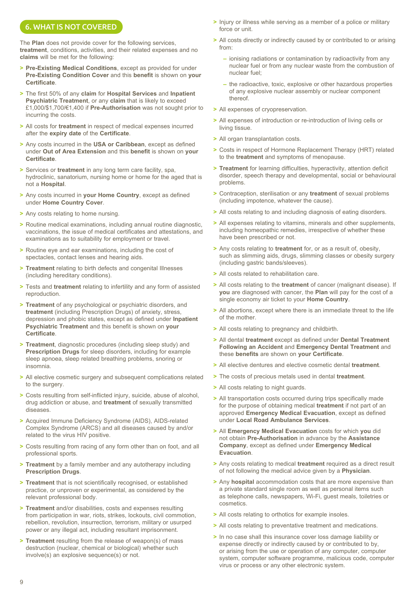# 6. WHAT IS NOT COVERED

The **Plan** does not provide cover for the following services, **treatment**, conditions, activities, and their related expenses and no **claims** will be met for the following:

- **> Pre-Existing Medical Conditions**, except as provided for under **Pre-Existing Condition Cover** and this **benefit** is shown on **your Certificate**.
- **>** The first 50% of any **claim** for **Hospital Services** and **Inpatient Psychiatric Treatment**, or any **claim** that is likely to exceed £1,000/\$1,700/€1,400 if **Pre-Authorisation** was not sought prior to incurring the costs.
- **>** All costs for **treatment** in respect of medical expenses incurred after the **expiry date** of the **Certificate**.
- **>** Any costs incurred in the **USA or Caribbean**, except as defined under **Out of Area Extension** and this **benefit** is shown on **your Certificate**.
- **>** Services or **treatment** in any long term care facility, spa, hydroclinic, sanatorium, nursing home or home for the aged that is not a **Hospital**.
- **>** Any costs incurred in **your Home Country**, except as defined under **Home Country Cover**.
- **>** Any costs relating to home nursing.
- **>** Routine medical examinations, including annual routine diagnostic, vaccinations, the issue of medical certificates and attestations, and examinations as to suitability for employment or travel.
- **>** Routine eye and ear examinations, including the cost of spectacles, contact lenses and hearing aids.
- **> Treatment** relating to birth defects and congenital Illnesses (including hereditary conditions).
- **>** Tests and **treatment** relating to infertility and any form of assisted reproduction.
- **> Treatment** of any psychological or psychiatric disorders, and **treatment** (including Prescription Drugs) of anxiety, stress, depression and phobic states, except as defined under **Inpatient Psychiatric Treatment** and this benefit is shown on **your Certificate**.
- **> Treatment**, diagnostic procedures (including sleep study) and **Prescription Drugs** for sleep disorders, including for example sleep apnoea, sleep related breathing problems, snoring or insomnia.
- **>** All elective cosmetic surgery and subsequent complications related to the surgery.
- **>** Costs resulting from self-inflicted injury, suicide, abuse of alcohol, drug addiction or abuse, and **treatment** of sexually transmitted diseases.
- **>** Acquired Immune Deficiency Syndrome (AIDS), AIDS-related Complex Syndrome (ARCS) and all diseases caused by and/or related to the virus HIV positive.
- **>** Costs resulting from racing of any form other than on foot, and all professional sports.
- **> Treatment** by a family member and any autotherapy including **Prescription Drugs**.
- **> Treatment** that is not scientifically recognised, or established practice, or unproven or experimental, as considered by the relevant professional body.
- **> Treatment** and/or disabilities, costs and expenses resulting from participation in war, riots, strikes, lockouts, civil commotion, rebellion, revolution, insurrection, terrorism, military or usurped power or any illegal act, including resultant imprisonment.
- **> Treatment** resulting from the release of weapon(s) of mass destruction (nuclear, chemical or biological) whether such involve(s) an explosive sequence(s) or not.
- **>** Injury or illness while serving as a member of a police or military force or unit.
- **>** All costs directly or indirectly caused by or contributed to or arising from:
	- **–** ionising radiations or contamination by radioactivity from any nuclear fuel or from any nuclear waste from the combustion of nuclear fuel;
	- **–** the radioactive, toxic, explosive or other hazardous properties of any explosive nuclear assembly or nuclear component thereof.
- **>** All expenses of cryopreservation.
- **>** All expenses of introduction or re-introduction of living cells or living tissue.
- **>** All organ transplantation costs.
- **>** Costs in respect of Hormone Replacement Therapy (HRT) related to the **treatment** and symptoms of menopause.
- **> Treatment** for learning difficulties, hyperactivity, attention deficit disorder, speech therapy and developmental, social or behavioural problems.
- **>** Contraception, sterilisation or any **treatment** of sexual problems (including impotence, whatever the cause).
- **>** All costs relating to and including diagnosis of eating disorders.
- **>** All expenses relating to vitamins, minerals and other supplements, including homeopathic remedies, irrespective of whether these have been prescribed or not.
- **>** Any costs relating to **treatment** for, or as a result of, obesity, such as slimming aids, drugs, slimming classes or obesity surgery (including gastric bands/sleeves).
- **>** All costs related to rehabilitation care.
- **>** All costs relating to the **treatment** of cancer (malignant disease). If **you** are diagnosed with cancer, the **Plan** will pay for the cost of a single economy air ticket to your **Home Country**.
- **>** All abortions, except where there is an immediate threat to the life of the mother.
- **>** All costs relating to pregnancy and childbirth.
- **>** All dental **treatment** except as defined under **Dental Treatment Following an Accident** and **Emergency Dental Treatment** and these **benefits** are shown on **your Certificate**.
- **>** All elective dentures and elective cosmetic dental **treatment**.
- **>** The costs of precious metals used in dental **treatment**.
- **>** All costs relating to night guards.
- **>** All transportation costs occurred during trips specifically made for the purpose of obtaining medical **treatment** if not part of an approved **Emergency Medical Evacuation**, except as defined under **Local Road Ambulance Services**.
- **>** All **Emergency Medical Evacuation** costs for which **you** did not obtain **Pre-Authorisation** in advance by the **Assistance Company**, except as defined under **Emergency Medical Evacuation**.
- **>** Any costs relating to medical **treatment** required as a direct result of not following the medical advice given by a **Physician**.
- **>** Any **hospital** accommodation costs that are more expensive than a private standard single room as well as personal items such as telephone calls, newspapers, Wi-Fi, guest meals, toiletries or cosmetics.
- **>** All costs relating to orthotics for example insoles.
- **>** All costs relating to preventative treatment and medications.
- **>** In no case shall this insurance cover loss damage liability or expense directly or indirectly caused by or contributed to by, or arising from the use or operation of any computer, computer system, computer software programme, malicious code, computer virus or process or any other electronic system.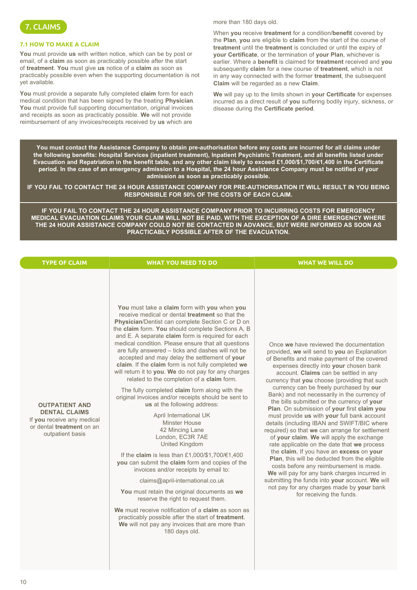

# **7.1 HOW TO MAKE A CLAIM**

**You** must provide **us** with written notice, which can be by post or email, of a **claim** as soon as practicably possible after the start of **treatment**. **You** must give **us** notice of a **claim** as soon as practicably possible even when the supporting documentation is not yet available.

**You** must provide a separate fully completed **claim** form for each medical condition that has been signed by the treating **Physician**. You must provide full supporting documentation, original invoices and receipts as soon as practicably possible. **We** will not provide reimbursement of any invoices/receipts received by **us** which are

more than 180 days old.

When **you** receive **treatment** for a condition/**benefit** covered by the **Plan**, **you** are eligible to **claim** from the start of the course of **treatment** until the **treatment** is concluded or until the expiry of **your Certificate**, or the termination of **your Plan**, whichever is earlier. Where a **benefit** is claimed for **treatment** received and **you**  subsequently **claim** for a new course of **treatment**, which is not in any way connected with the former **treatment**, the subsequent **Claim** will be regarded as a new **Claim**.

**We** will pay up to the limits shown in **your Certificate** for expenses incurred as a direct result of **you** suffering bodily injury, sickness, or disease during the **Certificate period**.

**You must contact the Assistance Company to obtain pre-authorisation before any costs are incurred for all claims under the following benefits: Hospital Services (inpatient treatment), Inpatient Psychiatric Treatment, and all benefits listed under Evacuation and Repatriation in the benefit table, and any other claim likely to exceed £1,000/\$1,700/€1,400 in the Certificate period. In the case of an emergency admission to a Hospital, the 24 hour Assistance Company must be notified of your admission as soon as practicably possible.**

**IF YOU FAIL TO CONTACT THE 24 HOUR ASSISTANCE COMPANY FOR PRE-AUTHORISATION IT WILL RESULT IN YOU BEING RESPONSIBLE FOR 50% OF THE COSTS OF EACH CLAIM.**

**IF YOU FAIL TO CONTACT THE 24 HOUR ASSISTANCE COMPANY PRIOR TO INCURRING COSTS FOR EMERGENCY MEDICAL EVACUATION CLAIMS YOUR CLAIM WILL NOT BE PAID, WITH THE EXCEPTION OF A DIRE EMERGENCY WHERE THE 24 HOUR ASSISTANCE COMPANY COULD NOT BE CONTACTED IN ADVANCE, BUT WERE INFORMED AS SOON AS PRACTICABLY POSSIBLE AFTER OF THE EVACUATION.**

| <b>TYPE OF CLAIM</b>                                                                                                         | <b>WHAT YOU NEED TO DO</b>                                                                                                                                                                                                                                                                                                                                                                                                                                                                                                                                                                                                                                                                                                                                                                                                                                                                                                                                                                                                                                                                                                                                                                                                                                                                         | <b>WHAT WE WILL DO</b>                                                                                                                                                                                                                                                                                                                                                                                                                                                                                                                                                                                                                                                                                                                                                                                                                                                                                                                                                                                                                |
|------------------------------------------------------------------------------------------------------------------------------|----------------------------------------------------------------------------------------------------------------------------------------------------------------------------------------------------------------------------------------------------------------------------------------------------------------------------------------------------------------------------------------------------------------------------------------------------------------------------------------------------------------------------------------------------------------------------------------------------------------------------------------------------------------------------------------------------------------------------------------------------------------------------------------------------------------------------------------------------------------------------------------------------------------------------------------------------------------------------------------------------------------------------------------------------------------------------------------------------------------------------------------------------------------------------------------------------------------------------------------------------------------------------------------------------|---------------------------------------------------------------------------------------------------------------------------------------------------------------------------------------------------------------------------------------------------------------------------------------------------------------------------------------------------------------------------------------------------------------------------------------------------------------------------------------------------------------------------------------------------------------------------------------------------------------------------------------------------------------------------------------------------------------------------------------------------------------------------------------------------------------------------------------------------------------------------------------------------------------------------------------------------------------------------------------------------------------------------------------|
| <b>OUTPATIENT AND</b><br><b>DENTAL CLAIMS</b><br>If you receive any medical<br>or dental treatment on an<br>outpatient basis | You must take a claim form with you when you<br>receive medical or dental treatment so that the<br>Physician/Dentist can complete Section C or D on<br>the claim form. You should complete Sections A, B<br>and E. A separate claim form is required for each<br>medical condition. Please ensure that all questions<br>are fully answered - ticks and dashes will not be<br>accepted and may delay the settlement of your<br>claim. If the claim form is not fully completed we<br>will return it to you. We do not pay for any charges<br>related to the completion of a claim form.<br>The fully completed claim form along with the<br>original invoices and/or receipts should be sent to<br>us at the following address:<br>April International UK<br><b>Minster House</b><br>42 Mincing Lane<br>London. EC3R 7AE<br>United Kingdom<br>If the claim is less than £1,000/\$1,700/€1,400<br>you can submit the claim form and copies of the<br>invoices and/or receipts by email to:<br>claims@april-international.co.uk<br>You must retain the original documents as we<br>reserve the right to request them.<br>We must receive notification of a claim as soon as<br>practicably possible after the start of treatment.<br>We will not pay any invoices that are more than<br>180 days old. | Once we have reviewed the documentation<br>provided, we will send to you an Explanation<br>of Benefits and make payment of the covered<br>expenses directly into your chosen bank<br>account. Claims can be settled in any<br>currency that you choose (providing that such<br>currency can be freely purchased by our<br>Bank) and not necessarily in the currency of<br>the bills submitted or the currency of your<br>Plan. On submission of your first claim you<br>must provide us with your full bank account<br>details (including IBAN and SWIFT/BIC where<br>required) so that we can arrange for settlement<br>of your claim. We will apply the exchange<br>rate applicable on the date that we process<br>the claim. If you have an excess on your<br>Plan, this will be deducted from the eligible<br>costs before any reimbursement is made.<br>We will pay for any bank charges incurred in<br>submitting the funds into your account. We will<br>not pay for any charges made by your bank<br>for receiving the funds. |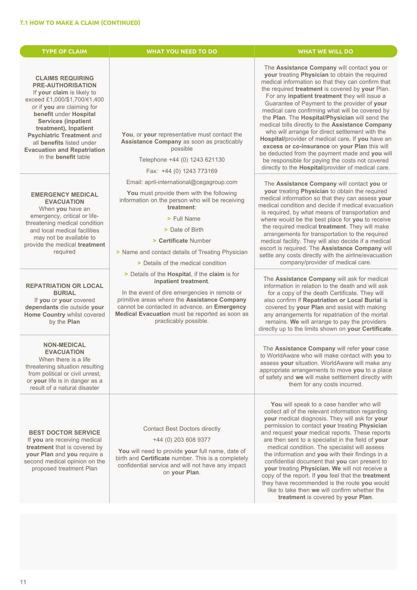| <b>TYPE OF CLAIM</b>                                                                                                                                                                                                                                                                                                                                            | <b>WHAT YOU NEED TO DO</b>                                                                                                                                                                                                                                                                                                                             | <b>WHAT WE WILL DO</b>                                                                                                                                                                                                                                                                                                                                                                                                                                                                                                                                                                                                                                                                                                                                                             |
|-----------------------------------------------------------------------------------------------------------------------------------------------------------------------------------------------------------------------------------------------------------------------------------------------------------------------------------------------------------------|--------------------------------------------------------------------------------------------------------------------------------------------------------------------------------------------------------------------------------------------------------------------------------------------------------------------------------------------------------|------------------------------------------------------------------------------------------------------------------------------------------------------------------------------------------------------------------------------------------------------------------------------------------------------------------------------------------------------------------------------------------------------------------------------------------------------------------------------------------------------------------------------------------------------------------------------------------------------------------------------------------------------------------------------------------------------------------------------------------------------------------------------------|
| <b>CLAIMS REQUIRING</b><br><b>PRE-AUTHORISATION</b><br>If your claim is likely to<br>exceed £1,000/\$1,700/€1,400<br>or if you are claiming for<br>benefit under Hospital<br><b>Services (inpatient</b><br>treatment), Inpatient<br>Psychiatric Treatment and<br>all benefits listed under<br><b>Evacuation and Repatriation</b><br>in the <b>benefit</b> table | You, or your representative must contact the<br>Assistance Company as soon as practicably<br>possible<br>Telephone +44 (0) 1243 621130<br>Fax: +44 (0) 1243 773169<br>Email: april-international@cegagroup.com                                                                                                                                         | The Assistance Company will contact you or<br>your treating Physician to obtain the required<br>medical information so that they can confirm that<br>the required treatment is covered by your Plan.<br>For any inpatient treatment they will issue a<br>Guarantee of Payment to the provider of your<br>medical care confirming what will be covered by<br>the Plan. The Hospital/Physician will send the<br>medical bills directly to the Assistance Company<br>who will arrange for direct settlement with the<br>Hospital/provider of medical care. If you have an<br>excess or co-insurance on your Plan this will<br>be deducted from the payment made and you will<br>be responsible for paying the costs not covered<br>directly to the Hospital/provider of medical care. |
| <b>EMERGENCY MEDICAL</b><br><b>EVACUATION</b><br>When you have an<br>emergency, critical or life-<br>threatening medical condition<br>and local medical facilities<br>may not be available to<br>provide the medical treatment<br>required<br><b>REPATRIATION OR LOCAL</b>                                                                                      | You must provide them with the following<br>information on the person who will be receiving<br>treatment:<br>> Full Name<br>> Date of Birth<br>> Certificate Number<br>> Name and contact details of Treating Physician<br>> Details of the medical condition<br>> Details of the <b>Hospital</b> , if the <b>claim</b> is for<br>inpatient treatment. | The Assistance Company will contact you or<br>your treating Physician to obtain the required<br>medical information so that they can assess your<br>medical condition and decide if medical evacuation<br>is required, by what means of transportation and<br>where would be the best place for you to receive<br>the required medical treatment. They will make<br>arrangements for transportation to the required<br>medical facility. They will also decide if a medical<br>escort is required. The Assistance Company will<br>settle any costs directly with the airline/evacuation<br>company/provider of medical care.<br>The Assistance Company will ask for medical<br>information in relation to the death and will ask                                                   |
| <b>BURIAL</b><br>If you or your covered<br>dependants die outside your<br>Home Country whilst covered<br>by the Plan<br><b>NON-MEDICAL</b><br><b>EVACUATION</b><br>When there is a life<br>threatening situation resulting<br>from political or civil unrest,<br>or your life is in danger as a                                                                 | In the event of dire emergencies in remote or<br>primitive areas where the Assistance Company<br>cannot be contacted in advance, an Emergency<br>Medical Evacuation must be reported as soon as<br>practicably possible.                                                                                                                               | for a copy of the death Certificate. They will<br>also confirm if Repatriation or Local Burial is<br>covered by your Plan and assist with making<br>any arrangements for repatriation of the mortal<br>remains. We will arrange to pay the providers<br>directly up to the limits shown on your Certificate.<br>The Assistance Company will refer your case<br>to WorldAware who will make contact with you to<br>assess your situation. WorldAware will make any<br>appropriate arrangements to move you to a place<br>of safety and we will make settlement directly with                                                                                                                                                                                                        |
| result of a natural disaster<br><b>BEST DOCTOR SERVICE</b><br>If you are receiving medical<br>treatment that is covered by<br>your Plan and you require a<br>second medical opinion on the<br>proposed treatment Plan                                                                                                                                           | <b>Contact Best Doctors directly</b><br>+44 (0) 203 608 9377<br>You will need to provide your full name, date of<br>birth and Certificate number. This is a completely<br>confidential service and will not have any impact<br>on your Plan.                                                                                                           | them for any costs incurred.<br>You will speak to a case handler who will<br>collect all of the relevant information regarding<br>your medical diagnosis. They will ask for your<br>permission to contact your treating Physician<br>and request your medical reports. These reports<br>are then sent to a specialist in the field of your<br>medical condition. The specialist will assess<br>the information and you with their findings in a<br>confidential document that you can present to<br>your treating Physician. We will not receive a<br>copy of the report. If you feel that the treatment<br>they have recommended is the route you would<br>like to take then we will confirm whether the<br>treatment is covered by your Plan.                                    |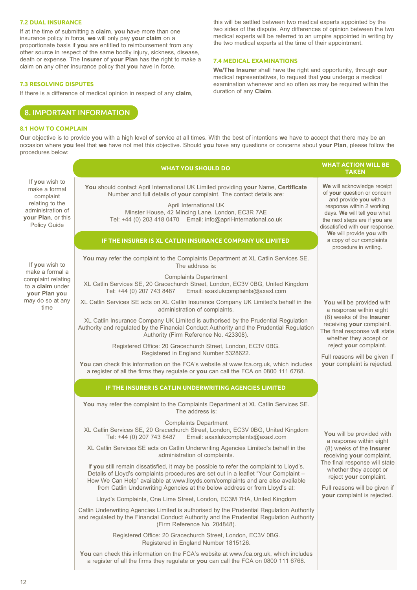# **7.2 DUAL INSURANCE**

If at the time of submitting a **claim**, **you** have more than one insurance policy in force, **we** will only pay **your claim** on a proportionate basis if **you** are entitled to reimbursement from any other source in respect of the same bodily injury, sickness, disease, death or expense. The **Insurer** of **your Plan** has the right to make a claim on any other insurance policy that **you** have in force.

## **7.3 RESOLVING DISPUTES**

If there is a difference of medical opinion in respect of any **claim**,

# 8. IMPORTANT INFORMATION

# **8.1 HOW TO COMPLAIN**

this will be settled between two medical experts appointed by the two sides of the dispute. Any differences of opinion between the two medical experts will be referred to an umpire appointed in writing by the two medical experts at the time of their appointment.

# **7.4 MEDICAL EXAMINATIONS**

**We/The Insurer** shall have the right and opportunity, through **our** medical representatives, to request that **you** undergo a medical examination whenever and so often as may be required within the duration of any **Claim**.

**Our** objective is to provide **you** with a high level of service at all times. With the best of intentions **we** have to accept that there may be an occasion where **you** feel that **we** have not met this objective. Should **you** have any questions or concerns about **your Plan**, please follow the procedures below:

|                                                                            | <b>WHAT YOU SHOULD DO</b>                                                                                                                                                                                                                                                                                                                      | <b>WHAT ACTION WILL BE</b><br><b>TAKEN</b>                                                                                   |  |
|----------------------------------------------------------------------------|------------------------------------------------------------------------------------------------------------------------------------------------------------------------------------------------------------------------------------------------------------------------------------------------------------------------------------------------|------------------------------------------------------------------------------------------------------------------------------|--|
| If you wish to<br>make a formal<br>complaint                               | You should contact April International UK Limited providing your Name, Certificate<br>Number and full details of your complaint. The contact details are:                                                                                                                                                                                      | We will acknowledge receipt<br>of your question or concern<br>and provide you with a                                         |  |
| relating to the<br>administration of<br>your Plan, or this<br>Policy Guide | April International UK<br>Minster House, 42 Mincing Lane, London, EC3R 7AE<br>Tel: +44 (0) 203 418 0470    Email: info@april-international.co.uk                                                                                                                                                                                               | response within 2 working<br>days. We will tell you what<br>the next steps are if you are<br>dissatisfied with our response. |  |
|                                                                            | IF THE INSURER IS XL CATLIN INSURANCE COMPANY UK LIMITED                                                                                                                                                                                                                                                                                       | We will provide you with<br>a copy of our complaints<br>procedure in writing.                                                |  |
| If you wish to<br>make a formal a                                          | You may refer the complaint to the Complaints Department at XL Catlin Services SE.<br>The address is:                                                                                                                                                                                                                                          |                                                                                                                              |  |
| complaint relating<br>to a claim under<br>your Plan you                    | <b>Complaints Department</b><br>XL Catlin Services SE, 20 Gracechurch Street, London, EC3V 0BG, United Kingdom<br>Tel: +44 (0) 207 743 8487    Email: axaxlukcomplaints@axaxl.com                                                                                                                                                              |                                                                                                                              |  |
| may do so at any<br>time                                                   | XL Catlin Services SE acts on XL Catlin Insurance Company UK Limited's behalf in the<br>administration of complaints.                                                                                                                                                                                                                          | You will be provided with<br>a response within eight                                                                         |  |
|                                                                            | XL Catlin Insurance Company UK Limited is authorised by the Prudential Regulation<br>Authority and regulated by the Financial Conduct Authority and the Prudential Regulation<br>Authority (Firm Reference No. 423308).                                                                                                                        | (8) weeks of the Insurer<br>receiving your complaint.<br>The final response will state<br>whether they accept or             |  |
|                                                                            | Registered Office: 20 Gracechurch Street, London, EC3V 0BG.<br>Registered in England Number 5328622.                                                                                                                                                                                                                                           | reject your complaint.<br>Full reasons will be given if                                                                      |  |
|                                                                            | You can check this information on the FCA's website at www.fca.org.uk, which includes<br>a register of all the firms they regulate or you can call the FCA on 0800 111 6768.                                                                                                                                                                   | your complaint is rejected.                                                                                                  |  |
|                                                                            | IF THE INSURER IS CATLIN UNDERWRITING AGENCIES LIMITED                                                                                                                                                                                                                                                                                         |                                                                                                                              |  |
|                                                                            | You may refer the complaint to the Complaints Department at XL Catlin Services SE.<br>The address is:                                                                                                                                                                                                                                          |                                                                                                                              |  |
|                                                                            | <b>Complaints Department</b><br>XL Catlin Services SE, 20 Gracechurch Street, London, EC3V 0BG, United Kingdom<br>Tel: +44 (0) 207 743 8487<br>Email: axaxlukcomplaints@axaxl.com                                                                                                                                                              | You will be provided with<br>a response within eight                                                                         |  |
|                                                                            | XL Catlin Services SE acts on Catlin Underwriting Agencies Limited's behalf in the<br>administration of complaints.                                                                                                                                                                                                                            | (8) weeks of the Insurer<br>receiving your complaint.                                                                        |  |
|                                                                            | If you still remain dissatisfied, it may be possible to refer the complaint to Lloyd's.<br>Details of Lloyd's complaints procedures are set out in a leaflet "Your Complaint -<br>How We Can Help" available at www.lloyds.com/complaints and are also available<br>from Catlin Underwriting Agencies at the below address or from Lloyd's at: | The final response will state<br>whether they accept or<br>reject your complaint.<br>Full reasons will be given if           |  |
|                                                                            | Lloyd's Complaints, One Lime Street, London, EC3M 7HA, United Kingdom                                                                                                                                                                                                                                                                          | your complaint is rejected.                                                                                                  |  |
|                                                                            | Catlin Underwriting Agencies Limited is authorised by the Prudential Regulation Authority<br>and regulated by the Financial Conduct Authority and the Prudential Regulation Authority<br>(Firm Reference No. 204848).                                                                                                                          |                                                                                                                              |  |
|                                                                            | Registered Office: 20 Gracechurch Street, London, EC3V 0BG.<br>Registered in England Number 1815126.                                                                                                                                                                                                                                           |                                                                                                                              |  |
|                                                                            | You can check this information on the FCA's website at www.fca.org.uk, which includes<br>a register of all the firms they regulate or you can call the FCA on 0800 111 6768.                                                                                                                                                                   |                                                                                                                              |  |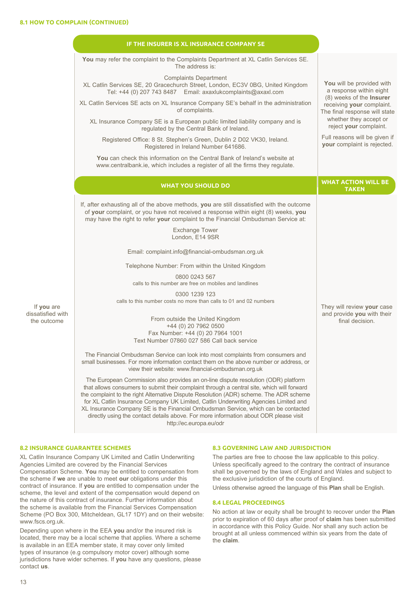|                                  | IF THE INSURER IS XL INSURANCE COMPANY SE                                                                                                                                                                                                                                                                                                                                                                                                                                                                                                                                    |                                                                                        |  |
|----------------------------------|------------------------------------------------------------------------------------------------------------------------------------------------------------------------------------------------------------------------------------------------------------------------------------------------------------------------------------------------------------------------------------------------------------------------------------------------------------------------------------------------------------------------------------------------------------------------------|----------------------------------------------------------------------------------------|--|
|                                  | You may refer the complaint to the Complaints Department at XL Catlin Services SE.<br>The address is:                                                                                                                                                                                                                                                                                                                                                                                                                                                                        |                                                                                        |  |
|                                  | <b>Complaints Department</b><br>XL Catlin Services SE, 20 Gracechurch Street, London, EC3V 0BG, United Kingdom<br>Tel: +44 (0) 207 743 8487 Email: axaxlukcomplaints@axaxl.com                                                                                                                                                                                                                                                                                                                                                                                               | You will be provided with<br>a response within eight                                   |  |
|                                  | XL Catlin Services SE acts on XL Insurance Company SE's behalf in the administration<br>of complaints.                                                                                                                                                                                                                                                                                                                                                                                                                                                                       | (8) weeks of the Insurer<br>receiving your complaint.<br>The final response will state |  |
|                                  | XL Insurance Company SE is a European public limited liability company and is<br>regulated by the Central Bank of Ireland.                                                                                                                                                                                                                                                                                                                                                                                                                                                   | whether they accept or<br>reject your complaint.                                       |  |
|                                  | Registered Office: 8 St. Stephen's Green, Dublin 2 D02 VK30, Ireland.<br>Registered in Ireland Number 641686.                                                                                                                                                                                                                                                                                                                                                                                                                                                                | Full reasons will be given if<br>your complaint is rejected.                           |  |
|                                  | You can check this information on the Central Bank of Ireland's website at<br>www.centralbank.ie, which includes a register of all the firms they regulate.                                                                                                                                                                                                                                                                                                                                                                                                                  |                                                                                        |  |
|                                  | <b>WHAT YOU SHOULD DO</b>                                                                                                                                                                                                                                                                                                                                                                                                                                                                                                                                                    | <b>WHAT ACTION WILL BE</b><br><b>TAKEN</b>                                             |  |
|                                  | If, after exhausting all of the above methods, you are still dissatisfied with the outcome<br>of your complaint, or you have not received a response within eight (8) weeks, you<br>may have the right to refer your complaint to the Financial Ombudsman Service at:                                                                                                                                                                                                                                                                                                        |                                                                                        |  |
|                                  | <b>Exchange Tower</b><br>London, E14 9SR                                                                                                                                                                                                                                                                                                                                                                                                                                                                                                                                     |                                                                                        |  |
|                                  | Email: complaint.info@financial-ombudsman.org.uk                                                                                                                                                                                                                                                                                                                                                                                                                                                                                                                             |                                                                                        |  |
|                                  | Telephone Number: From within the United Kingdom                                                                                                                                                                                                                                                                                                                                                                                                                                                                                                                             |                                                                                        |  |
|                                  | 0800 0243 567<br>calls to this number are free on mobiles and landlines                                                                                                                                                                                                                                                                                                                                                                                                                                                                                                      |                                                                                        |  |
| If you are                       | 0300 1239 123<br>calls to this number costs no more than calls to 01 and 02 numbers                                                                                                                                                                                                                                                                                                                                                                                                                                                                                          | They will review your case                                                             |  |
| dissatisfied with<br>the outcome | From outside the United Kingdom<br>+44 (0) 20 7962 0500<br>Fax Number: +44 (0) 20 7964 1001<br>Text Number 07860 027 586 Call back service                                                                                                                                                                                                                                                                                                                                                                                                                                   | and provide you with their<br>final decision.                                          |  |
|                                  | The Financial Ombudsman Service can look into most complaints from consumers and<br>small businesses. For more information contact them on the above number or address, or<br>view their website: www.financial-ombudsman.org.uk                                                                                                                                                                                                                                                                                                                                             |                                                                                        |  |
|                                  | The European Commission also provides an on-line dispute resolution (ODR) platform<br>that allows consumers to submit their complaint through a central site, which will forward<br>the complaint to the right Alternative Dispute Resolution (ADR) scheme. The ADR scheme<br>for XL Catlin Insurance Company UK Limited, Catlin Underwriting Agencies Limited and<br>XL Insurance Company SE is the Financial Ombudsman Service, which can be contacted<br>directly using the contact details above. For more information about ODR please visit<br>http://ec.europa.eu/odr |                                                                                        |  |

# **8.2 INSURANCE GUARANTEE SCHEMES**

XL Catlin Insurance Company UK Limited and Catlin Underwriting Agencies Limited are covered by the Financial Services Compensation Scheme. **You** may be entitled to compensation from the scheme if **we** are unable to meet **our** obligations under this contract of insurance. If **you** are entitled to compensation under the scheme, the level and extent of the compensation would depend on the nature of this contract of insurance. Further information about the scheme is available from the Financial Services Compensation Scheme (PO Box 300, Mitcheldean, GL17 1DY) and on their website: www.fscs.org.uk.

Depending upon where in the EEA **you** and/or the insured risk is located, there may be a local scheme that applies. Where a scheme is available in an EEA member state, it may cover only limited types of insurance (e.g compulsory motor cover) although some jurisdictions have wider schemes. If **you** have any questions, please contact **us**.

# **8.3 GOVERNING LAW AND JURISDICTION**

The parties are free to choose the law applicable to this policy. Unless specifically agreed to the contrary the contract of insurance shall be governed by the laws of England and Wales and subject to the exclusive jurisdiction of the courts of England.

Unless otherwise agreed the language of this **Plan** shall be English.

### **8.4 LEGAL PROCEEDINGS**

No action at law or equity shall be brought to recover under the **Plan** prior to expiration of 60 days after proof of **claim** has been submitted in accordance with this Policy Guide. Nor shall any such action be brought at all unless commenced within six years from the date of the **claim**.